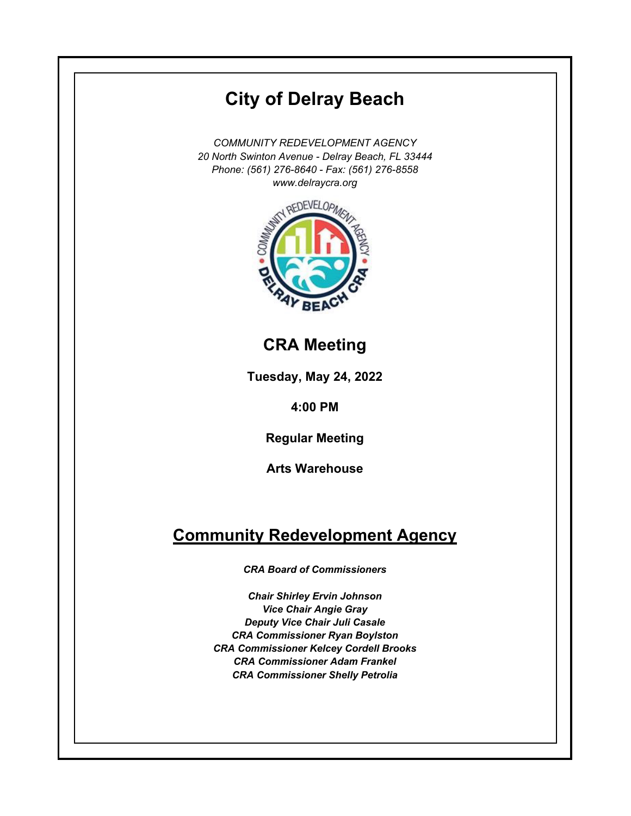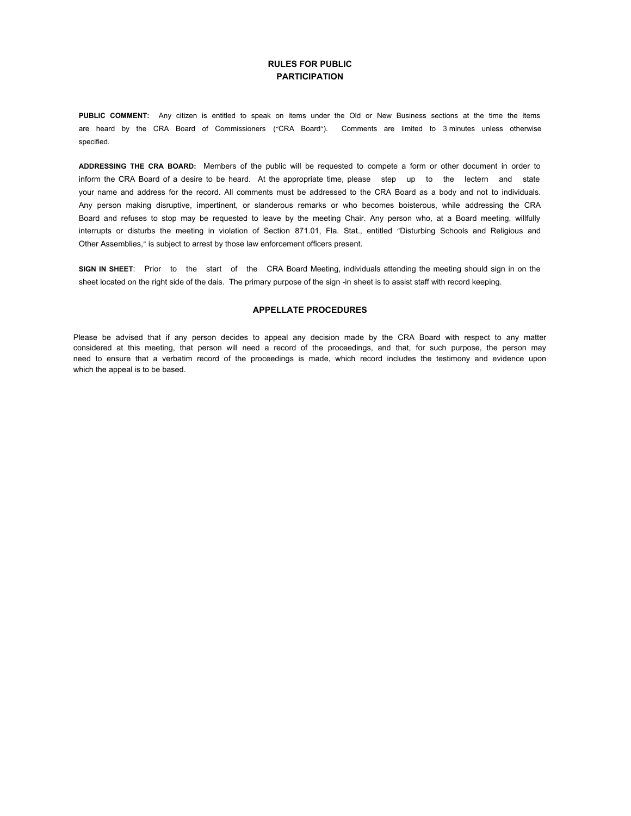#### **RULES FOR PUBLIC PARTICIPATION**

**PUBLIC COMMENT:** Any citizen is entitled to speak on items under the Old or New Business sections at the time the items are heard by the CRA Board of Commissioners ("CRA Board"). Comments are limited to 3 minutes unless otherwise specified.

**ADDRESSING THE CRA BOARD:** Members of the public will be requested to compete a form or other document in order to inform the CRA Board of a desire to be heard. At the appropriate time, please step up to the lectern and state your name and address for the record. All comments must be addressed to the CRA Board as a body and not to individuals. Any person making disruptive, impertinent, or slanderous remarks or who becomes boisterous, while addressing the CRA Board and refuses to stop may be requested to leave by the meeting Chair. Any person who, at a Board meeting, willfully interrupts or disturbs the meeting in violation of Section 871.01, Fla. Stat., entitled "Disturbing Schools and Religious and Other Assemblies," is subject to arrest by those law enforcement officers present.

**SIGN IN SHEET**: Prior to the start of the CRA Board Meeting, individuals attending the meeting should sign in on the sheet located on the right side of the dais. The primary purpose of the sign -in sheet is to assist staff with record keeping.

#### **APPELLATE PROCEDURES**

Please be advised that if any person decides to appeal any decision made by the CRA Board with respect to any matter considered at this meeting, that person will need a record of the proceedings, and that, for such purpose, the person may need to ensure that a verbatim record of the proceedings is made, which record includes the testimony and evidence upon which the appeal is to be based.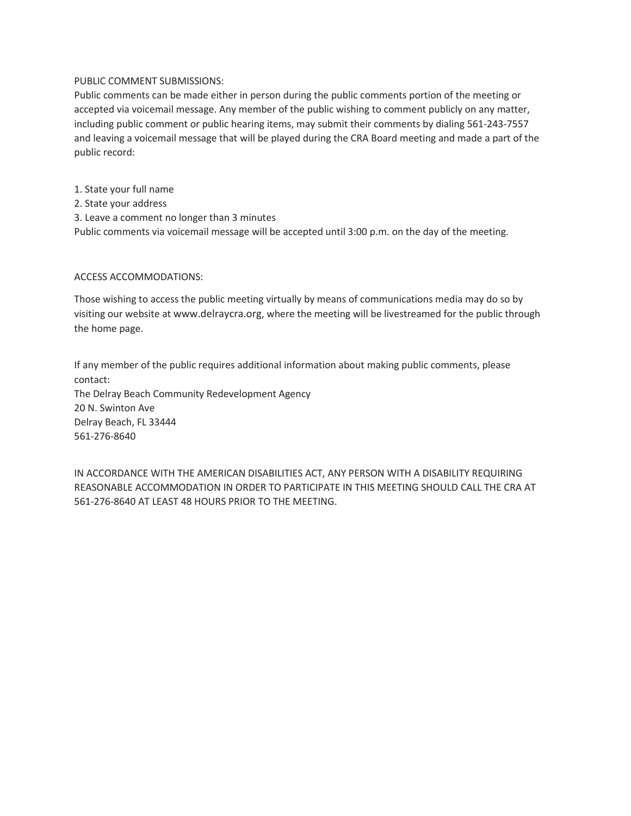### PUBLIC COMMENT SUBMISSIONS:

Public comments can be made either in person during the public comments portion of the meeting or accepted via voicemail message. Any member of the public wishing to comment publicly on any matter, including public comment or public hearing items, may submit their comments by dialing 561-243-7557 and leaving a voicemail message that will be played during the CRA Board meeting and made a part of the public record:

1. State your full name

2. State your address

3. Leave a comment no longer than 3 minutes

Public comments via voicemail message will be accepted until 3:00 p.m. on the day of the meeting.

## ACCESS ACCOMMODATIONS:

Those wishing to access the public meeting virtually by means of communications media may do so by visiting our website at [www.delraycra.org,](https://www.delraycra.org/) where the meeting will be livestreamed for the public through the home page.

If any member of the public requires additional information about making public comments, please contact: The Delray Beach Community Redevelopment Agency 20 N. Swinton Ave Delray Beach, FL 33444 561-276-8640

IN ACCORDANCE WITH THE AMERICAN DISABILITIES ACT, ANY PERSON WITH A DISABILITY REQUIRING REASONABLE ACCOMMODATION IN ORDER TO PARTICIPATE IN THIS MEETING SHOULD CALL THE CRA AT 561-276-8640 AT LEAST 48 HOURS PRIOR TO THE MEETING.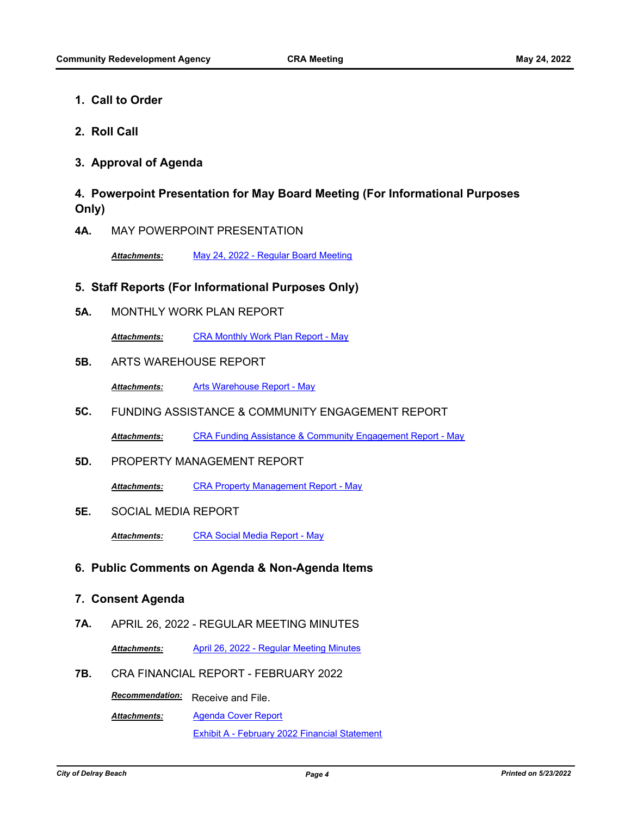- **1. Call to Order**
- **2. Roll Call**

## **3. Approval of Agenda**

# **4. Powerpoint Presentation for May Board Meeting (For Informational Purposes Only)**

**4A.** MAY POWERPOINT PRESENTATION

*Attachments:* [May 24, 2022 - Regular Board Meeting](http://delraybeach.legistar.com/gateway.aspx?M=F&ID=7f62c585-0b4b-4a6e-acab-ea3e8c93a5fc.pdf)

## **5. Staff Reports (For Informational Purposes Only)**

**5A.** MONTHLY WORK PLAN REPORT

*Attachments:* [CRA Monthly Work Plan Report - May](http://delraybeach.legistar.com/gateway.aspx?M=F&ID=38cbff81-d5ea-4192-a1cd-758a7510f3ca.pdf)

#### **5B.** ARTS WAREHOUSE REPORT

*Attachments:* [Arts Warehouse Report - May](http://delraybeach.legistar.com/gateway.aspx?M=F&ID=cfdb2e77-6900-41ca-b881-306dc81d07c4.pdf)

**5C.** FUNDING ASSISTANCE & COMMUNITY ENGAGEMENT REPORT

*Attachments:* [CRA Funding Assistance & Community Engagement Report - May](http://delraybeach.legistar.com/gateway.aspx?M=F&ID=5377f61b-089d-4e51-90da-656f8b242fac.pdf)

**5D.** PROPERTY MANAGEMENT REPORT

*Attachments:* [CRA Property Management Report - May](http://delraybeach.legistar.com/gateway.aspx?M=F&ID=6922292f-fffc-49c2-93c2-36193b734a1b.pdf)

**5E.** SOCIAL MEDIA REPORT

*Attachments:* [CRA Social Media Report - May](http://delraybeach.legistar.com/gateway.aspx?M=F&ID=ad1e1054-a66a-4208-872b-2ca83ea96002.pdf)

## **6. Public Comments on Agenda & Non-Agenda Items**

### **7. Consent Agenda**

**7A.** APRIL 26, 2022 - REGULAR MEETING MINUTES

*Attachments:* [April 26, 2022 - Regular Meeting Minutes](http://delraybeach.legistar.com/gateway.aspx?M=F&ID=7196c538-b087-4cc8-81c4-02d7e6ab51c1.pdf)

**7B.** CRA FINANCIAL REPORT - FEBRUARY 2022

**Recommendation:** Receive and File.

[Agenda Cover Report](http://delraybeach.legistar.com/gateway.aspx?M=F&ID=ef1ce0ba-8e07-4e98-94d1-4e56b6b8ae61.pdf) [Exhibit A - February 2022 Financial Statement](http://delraybeach.legistar.com/gateway.aspx?M=F&ID=fe24b95c-f129-4cc3-88b8-6c1286a96b10.pdf) *Attachments:*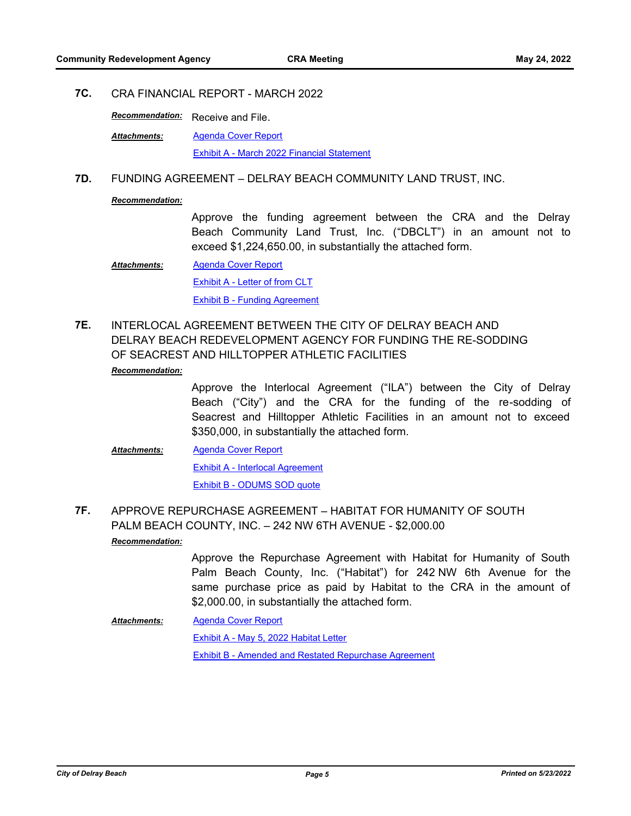## **7C.** CRA FINANCIAL REPORT - MARCH 2022

**Recommendation:** Receive and File.

[Agenda Cover Report](http://delraybeach.legistar.com/gateway.aspx?M=F&ID=1594fd4f-f5cd-4614-8ed4-7193de01a8bd.pdf) [Exhibit A - March 2022 Financial Statement](http://delraybeach.legistar.com/gateway.aspx?M=F&ID=8d827d48-5554-4209-b2b7-400a6a9d8fc1.pdf) *Attachments:*

### **7D.** FUNDING AGREEMENT – DELRAY BEACH COMMUNITY LAND TRUST, INC.

#### *Recommendation:*

Approve the funding agreement between the CRA and the Delray Beach Community Land Trust, Inc. ("DBCLT") in an amount not to exceed \$1,224,650.00, in substantially the attached form.

- [Agenda Cover Report](http://delraybeach.legistar.com/gateway.aspx?M=F&ID=d2e2cada-ce5b-4e5a-8a11-5a05095ff52a.pdf) [Exhibit A - Letter of from CLT](http://delraybeach.legistar.com/gateway.aspx?M=F&ID=0f7d96c4-b95a-4d22-9b9a-5fd97057559c.pdf) [Exhibit B - Funding Agreement](http://delraybeach.legistar.com/gateway.aspx?M=F&ID=f1afd9d1-62e3-4aa2-bf24-bc08992d17c2.pdf) *Attachments:*
- INTERLOCAL AGREEMENT BETWEEN THE CITY OF DELRAY BEACH AND DELRAY BEACH REDEVELOPMENT AGENCY FOR FUNDING THE RE-SODDING OF SEACREST AND HILLTOPPER ATHLETIC FACILITIES **7E.**

#### *Recommendation:*

Approve the Interlocal Agreement ("ILA") between the City of Delray Beach ("City") and the CRA for the funding of the re-sodding of Seacrest and Hilltopper Athletic Facilities in an amount not to exceed \$350,000, in substantially the attached form.

[Agenda Cover Report](http://delraybeach.legistar.com/gateway.aspx?M=F&ID=1a468d6a-49f2-4045-a03d-3f2cb89e00a0.pdf) [Exhibit A - Interlocal Agreement](http://delraybeach.legistar.com/gateway.aspx?M=F&ID=212706c5-a6e6-4875-9e16-ce1d35dde4bf.pdf) [Exhibit B - ODUMS SOD quote](http://delraybeach.legistar.com/gateway.aspx?M=F&ID=63d51a9e-07c4-41ba-9ba7-60f0e4e93a00.pdf) *Attachments:*

APPROVE REPURCHASE AGREEMENT – HABITAT FOR HUMANITY OF SOUTH PALM BEACH COUNTY, INC. – 242 NW 6TH AVENUE - \$2,000.00 **7F.** *Recommendation:*

> Approve the Repurchase Agreement with Habitat for Humanity of South Palm Beach County, Inc. ("Habitat") for 242 NW 6th Avenue for the same purchase price as paid by Habitat to the CRA in the amount of \$2,000.00, in substantially the attached form.

[Agenda Cover Report](http://delraybeach.legistar.com/gateway.aspx?M=F&ID=e7feafaf-ac46-4959-8a65-a8738aa0d32f.pdf) [Exhibit A - May 5, 2022 Habitat Letter](http://delraybeach.legistar.com/gateway.aspx?M=F&ID=7b5790b8-73de-4b87-bb01-d34a467e1462.pdf) [Exhibit B - Amended and Restated Repurchase Agreement](http://delraybeach.legistar.com/gateway.aspx?M=F&ID=e81ddda1-103f-4cc7-9d81-45dccac8dd98.pdf) *Attachments:*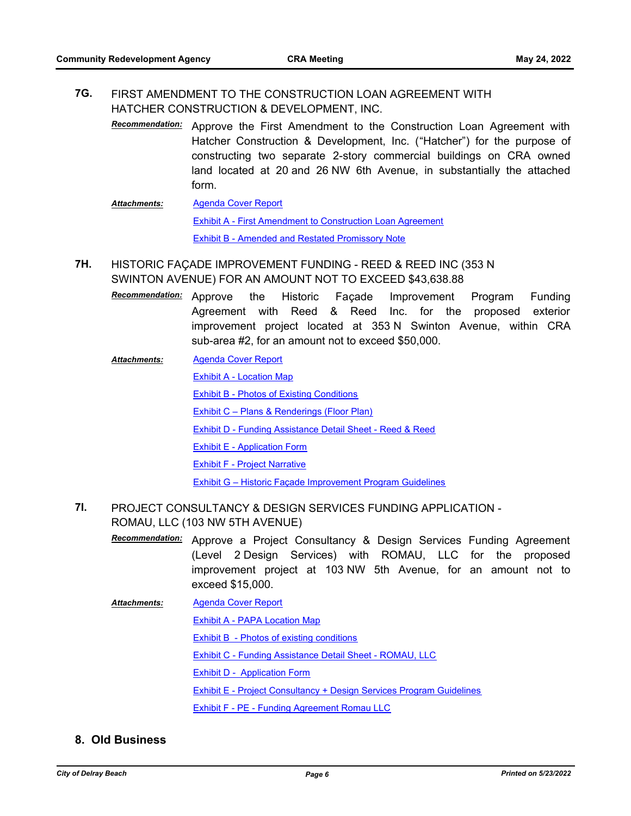#### FIRST AMENDMENT TO THE CONSTRUCTION LOAN AGREEMENT WITH HATCHER CONSTRUCTION & DEVELOPMENT, INC. **7G.**

- Recommendation: Approve the First Amendment to the Construction Loan Agreement with Hatcher Construction & Development, Inc. ("Hatcher") for the purpose of constructing two separate 2-story commercial buildings on CRA owned land located at 20 and 26 NW 6th Avenue, in substantially the attached form.
- [Agenda Cover Report](http://delraybeach.legistar.com/gateway.aspx?M=F&ID=9d6a3115-48cd-47c5-bb27-c72d7590a471.pdf) [Exhibit A - First Amendment to Construction Loan Agreement](http://delraybeach.legistar.com/gateway.aspx?M=F&ID=07ffd1bf-4d55-42ee-bf98-b35127681d22.pdf) [Exhibit B - Amended and Restated Promissory Note](http://delraybeach.legistar.com/gateway.aspx?M=F&ID=926a1017-ceaa-4058-b6b0-0cd0148ece65.pdf) *Attachments:*
- HISTORIC FAÇADE IMPROVEMENT FUNDING REED & REED INC (353 N SWINTON AVENUE) FOR AN AMOUNT NOT TO EXCEED \$43,638.88 **7H.**
	- the Historic Façade Improvement Program Funding Agreement with Reed & Reed Inc. for the proposed exterior improvement project located at 353 N Swinton Avenue, within CRA sub-area #2, for an amount not to exceed \$50,000. *Recommendation:*
	- [Agenda Cover Report](http://delraybeach.legistar.com/gateway.aspx?M=F&ID=82d632ec-7248-459b-8c62-26b3b508cdee.pdf) *Attachments:*
		- [Exhibit A Location Map](http://delraybeach.legistar.com/gateway.aspx?M=F&ID=28ff48c6-b1c4-4a1d-8e5e-5d899bccfcfd.pdf)
		- [Exhibit B Photos of Existing Conditions](http://delraybeach.legistar.com/gateway.aspx?M=F&ID=8a014424-b955-4ee2-9e3a-acca71435a6d.pdf)
		- [Exhibit C Plans & Renderings \(Floor Plan\)](http://delraybeach.legistar.com/gateway.aspx?M=F&ID=ee8bc708-a7fc-4fca-acbe-f867468aa3e9.pdf)
		- [Exhibit D Funding Assistance Detail Sheet Reed & Reed](http://delraybeach.legistar.com/gateway.aspx?M=F&ID=b76c06ef-0ec5-43b3-aed9-ffd78426c147.pdf)
		- **[Exhibit E Application Form](http://delraybeach.legistar.com/gateway.aspx?M=F&ID=251cefa7-7200-453d-9531-3fb28f9cec29.pdf)**
		- [Exhibit F Project Narrative](http://delraybeach.legistar.com/gateway.aspx?M=F&ID=4f1a36f7-89dc-49cc-8f51-94c17d5b9df9.pdf)

[Exhibit G – Historic Façade Improvement Program Guidelines](http://delraybeach.legistar.com/gateway.aspx?M=F&ID=a3ff7cdf-d440-46b8-bbbd-53001e687256.pdf)

#### PROJECT CONSULTANCY & DESIGN SERVICES FUNDING APPLICATION - ROMAU, LLC (103 NW 5TH AVENUE) **7I.**

Recommendation: Approve a Project Consultancy & Design Services Funding Agreement (Level 2 Design Services) with ROMAU, LLC for the proposed improvement project at 103 NW 5th Avenue, for an amount not to exceed \$15,000.

[Agenda Cover Report](http://delraybeach.legistar.com/gateway.aspx?M=F&ID=a5361790-9da8-4527-984f-7eec023a8c74.pdf) *Attachments:*

[Exhibit A - PAPA Location Map](http://delraybeach.legistar.com/gateway.aspx?M=F&ID=2f6dd039-abb1-4caf-9d90-7b464ca313ac.pdf)

[Exhibit B - Photos of existing conditions](http://delraybeach.legistar.com/gateway.aspx?M=F&ID=95303d31-4be0-4960-9f25-18cf7e9393c5.pdf)

[Exhibit C - Funding Assistance Detail Sheet - ROMAU, LLC](http://delraybeach.legistar.com/gateway.aspx?M=F&ID=b7250083-33b6-455b-bf03-3c272391f8c4.pdf)

[Exhibit D - Application Form](http://delraybeach.legistar.com/gateway.aspx?M=F&ID=c32a57a0-2ade-47a5-a3f3-b01228c433d4.pdf)

[Exhibit E - Project Consultancy + Design Services Program Guidelines](http://delraybeach.legistar.com/gateway.aspx?M=F&ID=f1212212-2ed3-48bf-998b-9e13dc9fb889.pdf)

[Exhibit F - PE - Funding Agreement Romau LLC](http://delraybeach.legistar.com/gateway.aspx?M=F&ID=4888ebd3-7703-4b59-a224-f7876ed4b19f.pdf)

## **8. Old Business**